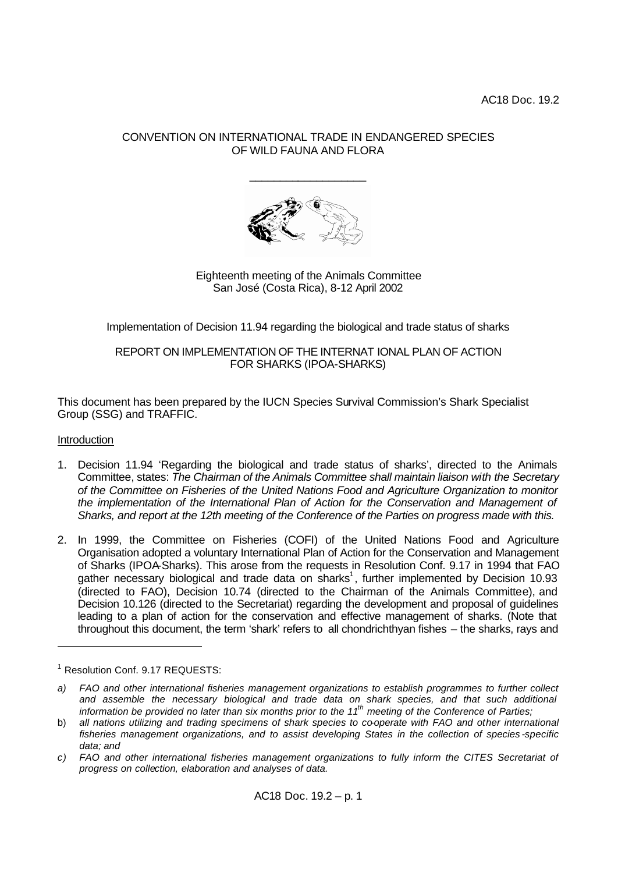# CONVENTION ON INTERNATIONAL TRADE IN ENDANGERED SPECIES OF WILD FAUNA AND FLORA

\_\_\_\_\_\_\_\_\_\_\_\_\_\_\_\_\_\_\_



Eighteenth meeting of the Animals Committee San José (Costa Rica), 8-12 April 2002

Implementation of Decision 11.94 regarding the biological and trade status of sharks

## REPORT ON IMPLEMENTATION OF THE INTERNAT IONAL PLAN OF ACTION FOR SHARKS (IPOA-SHARKS)

This document has been prepared by the IUCN Species Survival Commission's Shark Specialist Group (SSG) and TRAFFIC.

## Introduction

- 1. Decision 11.94 'Regarding the biological and trade status of sharks', directed to the Animals Committee, states: *The Chairman of the Animals Committee shall maintain liaison with the Secretary of the Committee on Fisheries of the United Nations Food and Agriculture Organization to monitor the implementation of the International Plan of Action for the Conservation and Management of Sharks, and report at the 12th meeting of the Conference of the Parties on progress made with this.*
- 2. In 1999, the Committee on Fisheries (COFI) of the United Nations Food and Agriculture Organisation adopted a voluntary International Plan of Action for the Conservation and Management of Sharks (IPOA-Sharks). This arose from the requests in Resolution Conf. 9.17 in 1994 that FAO gather necessary biological and trade data on sharks<sup>1</sup>, further implemented by Decision 10.93 (directed to FAO), Decision 10.74 (directed to the Chairman of the Animals Committee), and Decision 10.126 (directed to the Secretariat) regarding the development and proposal of guidelines leading to a plan of action for the conservation and effective management of sharks. (Note that throughout this document, the term 'shark' refers to all chondrichthyan fishes – the sharks, rays and

<sup>&</sup>lt;sup>1</sup> Resolution Conf. 9.17 REQUESTS:

*a) FAO and other international fisheries management organizations to establish programmes to further collect and assemble the necessary biological and trade data on shark species, and that such additional information be provided no later than six months prior to the 11th meeting of the Conference of Parties;*

b) all nations utilizing and trading specimens of shark species to co-operate with FAO and other international *fisheries management organizations, and to assist developing States in the collection of species -specific data; and* 

*c) FAO and other international fisheries management organizations to fully inform the CITES Secretariat of progress on collection, elaboration and analyses of data.*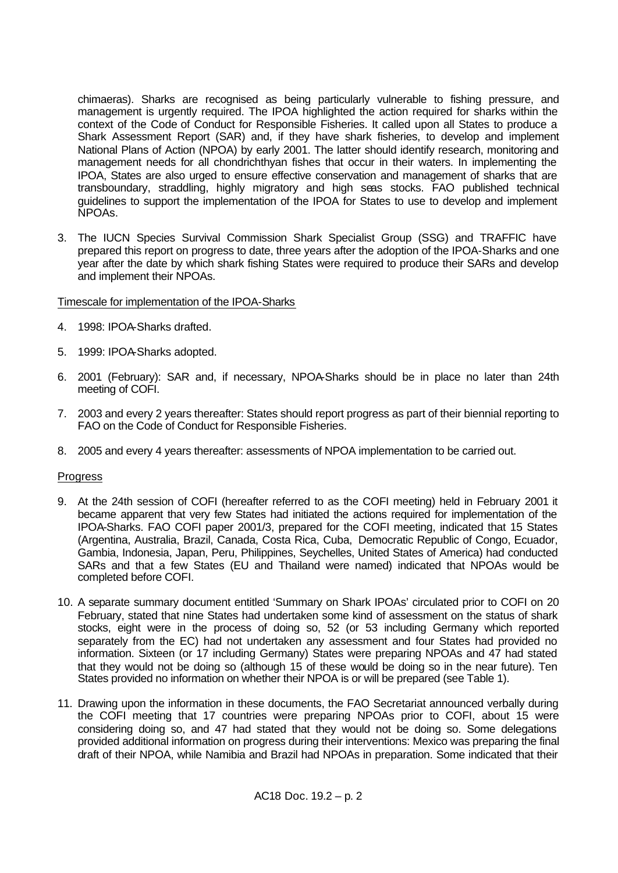chimaeras). Sharks are recognised as being particularly vulnerable to fishing pressure, and management is urgently required. The IPOA highlighted the action required for sharks within the context of the Code of Conduct for Responsible Fisheries. It called upon all States to produce a Shark Assessment Report (SAR) and, if they have shark fisheries, to develop and implement National Plans of Action (NPOA) by early 2001. The latter should identify research, monitoring and management needs for all chondrichthyan fishes that occur in their waters. In implementing the IPOA, States are also urged to ensure effective conservation and management of sharks that are transboundary, straddling, highly migratory and high seas stocks. FAO published technical guidelines to support the implementation of the IPOA for States to use to develop and implement NPOAs.

3. The IUCN Species Survival Commission Shark Specialist Group (SSG) and TRAFFIC have prepared this report on progress to date, three years after the adoption of the IPOA-Sharks and one year after the date by which shark fishing States were required to produce their SARs and develop and implement their NPOAs.

# Timescale for implementation of the IPOA-Sharks

- 4. 1998: IPOA-Sharks drafted.
- 5. 1999: IPOA-Sharks adopted.
- 6. 2001 (February): SAR and, if necessary, NPOA-Sharks should be in place no later than 24th meeting of COFI.
- 7. 2003 and every 2 years thereafter: States should report progress as part of their biennial reporting to FAO on the Code of Conduct for Responsible Fisheries.
- 8. 2005 and every 4 years thereafter: assessments of NPOA implementation to be carried out.

# Progress

- 9. At the 24th session of COFI (hereafter referred to as the COFI meeting) held in February 2001 it became apparent that very few States had initiated the actions required for implementation of the IPOA-Sharks. FAO COFI paper 2001/3, prepared for the COFI meeting, indicated that 15 States (Argentina, Australia, Brazil, Canada, Costa Rica, Cuba, Democratic Republic of Congo, Ecuador, Gambia, Indonesia, Japan, Peru, Philippines, Seychelles, United States of America) had conducted SARs and that a few States (EU and Thailand were named) indicated that NPOAs would be completed before COFI.
- 10. A separate summary document entitled 'Summary on Shark IPOAs' circulated prior to COFI on 20 February, stated that nine States had undertaken some kind of assessment on the status of shark stocks, eight were in the process of doing so, 52 (or 53 including Germany which reported separately from the EC) had not undertaken any assessment and four States had provided no information. Sixteen (or 17 including Germany) States were preparing NPOAs and 47 had stated that they would not be doing so (although 15 of these would be doing so in the near future). Ten States provided no information on whether their NPOA is or will be prepared (see Table 1).
- 11. Drawing upon the information in these documents, the FAO Secretariat announced verbally during the COFI meeting that 17 countries were preparing NPOAs prior to COFI, about 15 were considering doing so, and 47 had stated that they would not be doing so. Some delegations provided additional information on progress during their interventions: Mexico was preparing the final draft of their NPOA, while Namibia and Brazil had NPOAs in preparation. Some indicated that their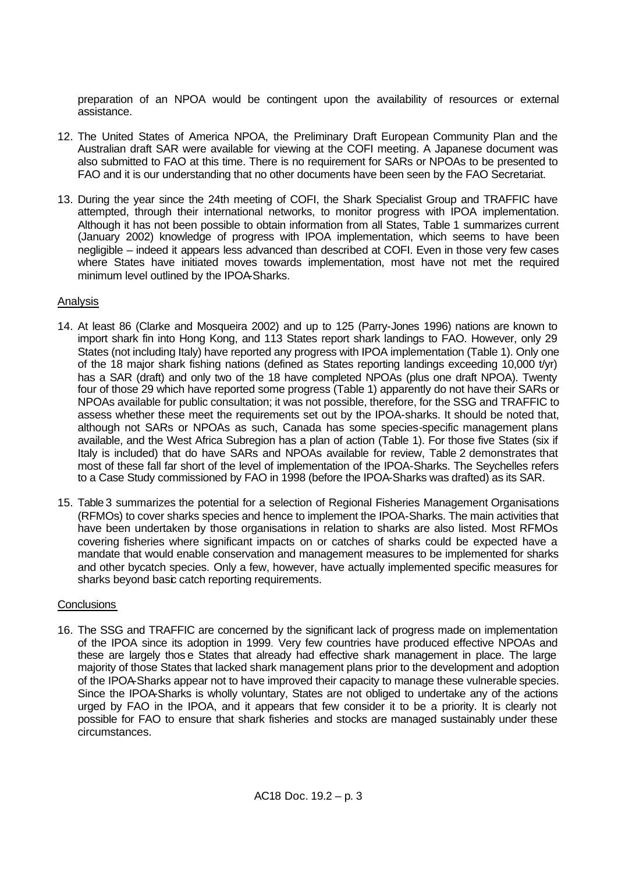preparation of an NPOA would be contingent upon the availability of resources or external assistance.

- 12. The United States of America NPOA, the Preliminary Draft European Community Plan and the Australian draft SAR were available for viewing at the COFI meeting. A Japanese document was also submitted to FAO at this time. There is no requirement for SARs or NPOAs to be presented to FAO and it is our understanding that no other documents have been seen by the FAO Secretariat.
- 13. During the year since the 24th meeting of COFI, the Shark Specialist Group and TRAFFIC have attempted, through their international networks, to monitor progress with IPOA implementation. Although it has not been possible to obtain information from all States, Table 1 summarizes current (January 2002) knowledge of progress with IPOA implementation, which seems to have been negligible – indeed it appears less advanced than described at COFI. Even in those very few cases where States have initiated moves towards implementation, most have not met the required minimum level outlined by the IPOA-Sharks.

## Analysis

- 14. At least 86 (Clarke and Mosqueira 2002) and up to 125 (Parry-Jones 1996) nations are known to import shark fin into Hong Kong, and 113 States report shark landings to FAO. However, only 29 States (not including Italy) have reported any progress with IPOA implementation (Table 1). Only one of the 18 major shark fishing nations (defined as States reporting landings exceeding 10,000 t/yr) has a SAR (draft) and only two of the 18 have completed NPOAs (plus one draft NPOA). Twenty four of those 29 which have reported some progress (Table 1) apparently do not have their SARs or NPOAs available for public consultation; it was not possible, therefore, for the SSG and TRAFFIC to assess whether these meet the requirements set out by the IPOA-sharks. It should be noted that, although not SARs or NPOAs as such, Canada has some species-specific management plans available, and the West Africa Subregion has a plan of action (Table 1). For those five States (six if Italy is included) that do have SARs and NPOAs available for review, Table 2 demonstrates that most of these fall far short of the level of implementation of the IPOA-Sharks. The Seychelles refers to a Case Study commissioned by FAO in 1998 (before the IPOA-Sharks was drafted) as its SAR.
- 15. Table 3 summarizes the potential for a selection of Regional Fisheries Management Organisations (RFMOs) to cover sharks species and hence to implement the IPOA-Sharks. The main activities that have been undertaken by those organisations in relation to sharks are also listed. Most RFMOs covering fisheries where significant impacts on or catches of sharks could be expected have a mandate that would enable conservation and management measures to be implemented for sharks and other bycatch species. Only a few, however, have actually implemented specific measures for sharks beyond basic catch reporting requirements.

## **Conclusions**

16. The SSG and TRAFFIC are concerned by the significant lack of progress made on implementation of the IPOA since its adoption in 1999. Very few countries have produced effective NPOAs and these are largely thos e States that already had effective shark management in place. The large majority of those States that lacked shark management plans prior to the development and adoption of the IPOA-Sharks appear not to have improved their capacity to manage these vulnerable species. Since the IPOA-Sharks is wholly voluntary, States are not obliged to undertake any of the actions urged by FAO in the IPOA, and it appears that few consider it to be a priority. It is clearly not possible for FAO to ensure that shark fisheries and stocks are managed sustainably under these circumstances.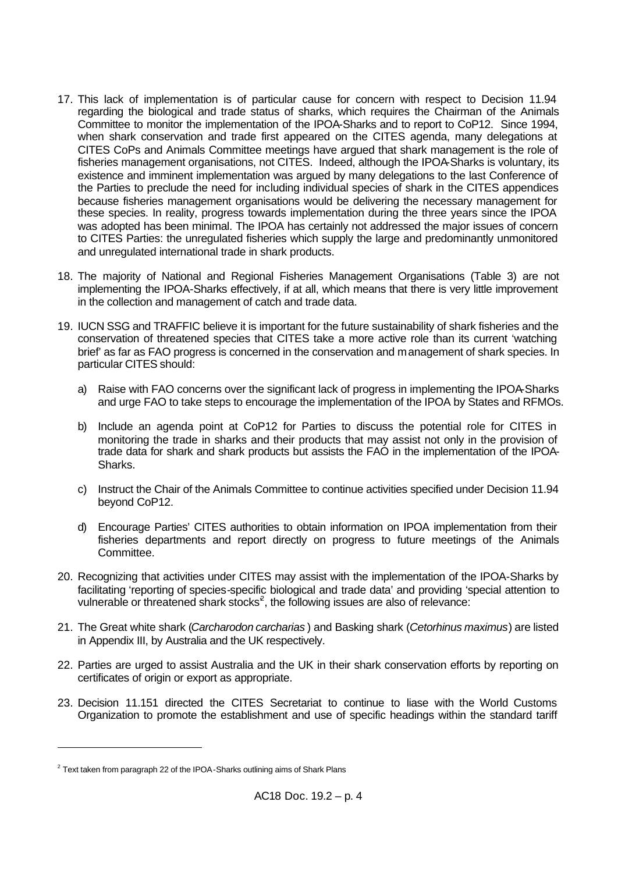- 17. This lack of implementation is of particular cause for concern with respect to Decision 11.94 regarding the biological and trade status of sharks, which requires the Chairman of the Animals Committee to monitor the implementation of the IPOA-Sharks and to report to CoP12. Since 1994, when shark conservation and trade first appeared on the CITES agenda, many delegations at CITES CoPs and Animals Committee meetings have argued that shark management is the role of fisheries management organisations, not CITES. Indeed, although the IPOA-Sharks is voluntary, its existence and imminent implementation was argued by many delegations to the last Conference of the Parties to preclude the need for including individual species of shark in the CITES appendices because fisheries management organisations would be delivering the necessary management for these species. In reality, progress towards implementation during the three years since the IPOA was adopted has been minimal. The IPOA has certainly not addressed the major issues of concern to CITES Parties: the unregulated fisheries which supply the large and predominantly unmonitored and unregulated international trade in shark products.
- 18. The majority of National and Regional Fisheries Management Organisations (Table 3) are not implementing the IPOA-Sharks effectively, if at all, which means that there is very little improvement in the collection and management of catch and trade data.
- 19. IUCN SSG and TRAFFIC believe it is important for the future sustainability of shark fisheries and the conservation of threatened species that CITES take a more active role than its current 'watching brief' as far as FAO progress is concerned in the conservation and management of shark species. In particular CITES should:
	- a) Raise with FAO concerns over the significant lack of progress in implementing the IPOA-Sharks and urge FAO to take steps to encourage the implementation of the IPOA by States and RFMOs.
	- b) Include an agenda point at CoP12 for Parties to discuss the potential role for CITES in monitoring the trade in sharks and their products that may assist not only in the provision of trade data for shark and shark products but assists the FAO in the implementation of the IPOA-Sharks.
	- c) Instruct the Chair of the Animals Committee to continue activities specified under Decision 11.94 beyond CoP12.
	- d) Encourage Parties' CITES authorities to obtain information on IPOA implementation from their fisheries departments and report directly on progress to future meetings of the Animals Committee.
- 20. Recognizing that activities under CITES may assist with the implementation of the IPOA-Sharks by facilitating 'reporting of species-specific biological and trade data' and providing 'special attention to vulnerable or threatened shark stocks<sup>2</sup>, the following issues are also of relevance:
- 21. The Great white shark (*Carcharodon carcharias* ) and Basking shark (*Cetorhinus maximus*) are listed in Appendix III, by Australia and the UK respectively.
- 22. Parties are urged to assist Australia and the UK in their shark conservation efforts by reporting on certificates of origin or export as appropriate.
- 23. Decision 11.151 directed the CITES Secretariat to continue to liase with the World Customs Organization to promote the establishment and use of specific headings within the standard tariff

 $2$  Text taken from paragraph 22 of the IPOA-Sharks outlining aims of Shark Plans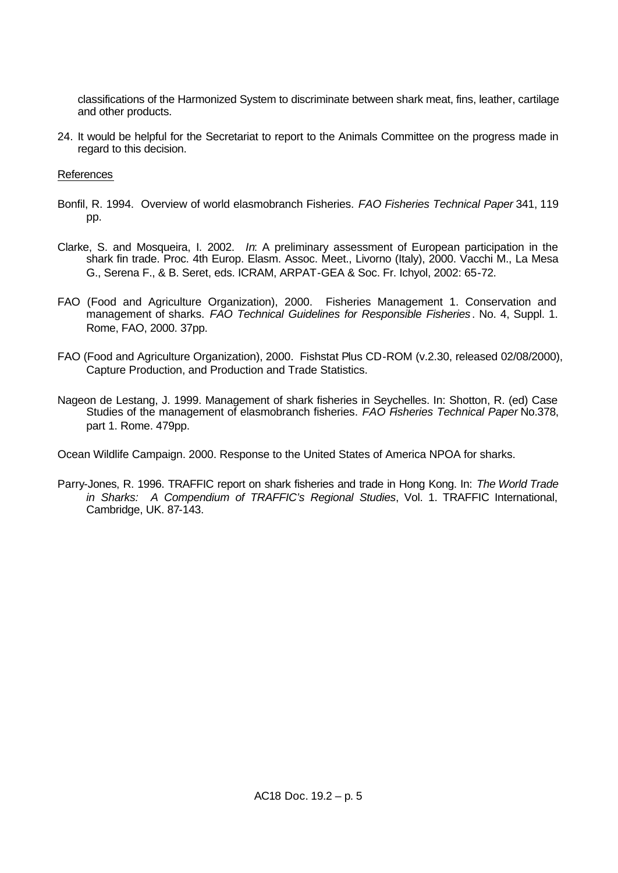classifications of the Harmonized System to discriminate between shark meat, fins, leather, cartilage and other products.

24. It would be helpful for the Secretariat to report to the Animals Committee on the progress made in regard to this decision.

# References

- Bonfil, R. 1994. Overview of world elasmobranch Fisheries. *FAO Fisheries Technical Paper* 341, 119 pp.
- Clarke, S. and Mosqueira, I. 2002. *In*: A preliminary assessment of European participation in the shark fin trade. Proc. 4th Europ. Elasm. Assoc. Meet., Livorno (Italy), 2000. Vacchi M., La Mesa G., Serena F., & B. Seret, eds. ICRAM, ARPAT-GEA & Soc. Fr. Ichyol, 2002: 65-72.
- FAO (Food and Agriculture Organization), 2000. Fisheries Management 1. Conservation and management of sharks. *FAO Technical Guidelines for Responsible Fisheries*. No. 4, Suppl. 1. Rome, FAO, 2000. 37pp.
- FAO (Food and Agriculture Organization), 2000. Fishstat Plus CD-ROM (v.2.30, released 02/08/2000), Capture Production, and Production and Trade Statistics.
- Nageon de Lestang, J. 1999. Management of shark fisheries in Seychelles. In: Shotton, R. (ed) Case Studies of the management of elasmobranch fisheries. *FAO Fisheries Technical Paper* No.378, part 1. Rome. 479pp.

Ocean Wildlife Campaign. 2000. Response to the United States of America NPOA for sharks.

Parry-Jones, R. 1996. TRAFFIC report on shark fisheries and trade in Hong Kong. In: *The World Trade in Sharks: A Compendium of TRAFFIC's Regional Studies*, Vol. 1. TRAFFIC International, Cambridge, UK. 87-143.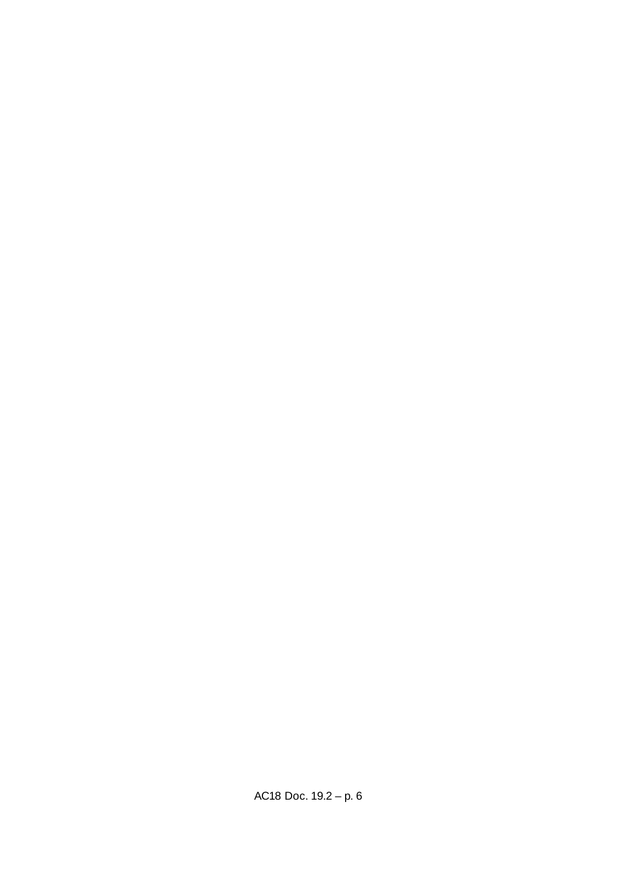AC18 Doc. 19.2 – p. 6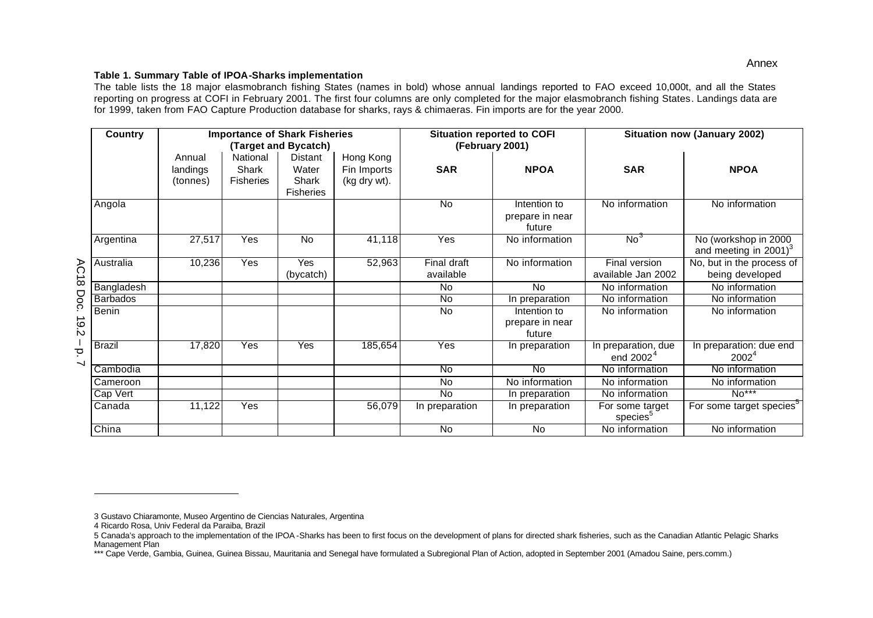#### **Table 1. Summary Table of IPOA-Sharks implementation**

The table lists the 18 major elasmobranch fishing States (names in bold) whose annual landings reported to FAO exceed 10,000t, and all the States reporting on progress at COFI in February 2001. The first four columns are only completed for the major elasmobranch fishing States. Landings data are for 1999, taken from FAO Capture Production database for sharks, rays & chimaeras. Fin imports are for the year 2000.

|                               | <b>Country</b>  |                                |                                              | <b>Importance of Shark Fisheries</b><br>(Target and Bycatch) |                                          |                          | <b>Situation reported to COFI</b><br>(February 2001) | <b>Situation now (January 2002)</b>          |                                                            |  |
|-------------------------------|-----------------|--------------------------------|----------------------------------------------|--------------------------------------------------------------|------------------------------------------|--------------------------|------------------------------------------------------|----------------------------------------------|------------------------------------------------------------|--|
|                               |                 | Annual<br>landings<br>(tonnes) | National<br><b>Shark</b><br><b>Fisheries</b> | Distant<br>Water<br>Shark<br>Fisheries                       | Hong Kong<br>Fin Imports<br>(kg dry wt). | <b>SAR</b>               | <b>NPOA</b>                                          | <b>SAR</b>                                   | <b>NPOA</b>                                                |  |
| <b>AC18</b>                   | Angola          |                                |                                              |                                                              |                                          | <b>No</b>                | Intention to<br>prepare in near<br>future            | No information                               | No information                                             |  |
|                               | Argentina       | 27,517                         | Yes                                          | <b>No</b>                                                    | 41,118                                   | Yes                      | No information                                       | No <sup>3</sup>                              | No (workshop in 2000<br>and meeting in $2001$ <sup>3</sup> |  |
|                               | Australia       | 10,236                         | Yes                                          | Yes<br>(bycatch)                                             | 52,963                                   | Final draft<br>available | No information                                       | Final version<br>available Jan 2002          | No, but in the process of<br>being developed               |  |
|                               | Bangladesh      |                                |                                              |                                                              |                                          | No.                      | <b>No</b>                                            | No information                               | No information                                             |  |
| Doc.                          | <b>Barbados</b> |                                |                                              |                                                              |                                          | No                       | In preparation                                       | No information                               | No information                                             |  |
| $\overline{5}$                | <b>Benin</b>    |                                |                                              |                                                              |                                          | No                       | Intention to<br>prepare in near<br>future            | No information                               | No information                                             |  |
| p<br>$\overline{\phantom{0}}$ | <b>Brazil</b>   | 17,820                         | Yes                                          | Yes                                                          | 185,654                                  | Yes                      | In preparation                                       | In preparation, due<br>end 2002 <sup>4</sup> | In preparation: due end<br>2002 <sup>4</sup>               |  |
|                               | Cambodia        |                                |                                              |                                                              |                                          | $\overline{N}$           | $\overline{N}$                                       | No information                               | No information                                             |  |
|                               | Cameroon        |                                |                                              |                                                              |                                          | <b>No</b>                | No information                                       | No information                               | No information                                             |  |
|                               | Cap Vert        |                                |                                              |                                                              |                                          | N <sub>o</sub>           | In preparation                                       | No information                               | $No***$                                                    |  |
|                               | Canada          | 11,122                         | Yes                                          |                                                              | 56,079                                   | In preparation           | In preparation                                       | For some target<br>species <sup>5</sup>      | For some target species <sup>3</sup>                       |  |
|                               | China           |                                |                                              |                                                              |                                          | No                       | No                                                   | No information                               | No information                                             |  |

<sup>3</sup> Gustavo Chiaramonte, Museo Argentino de Ciencias Naturales, Argentina

<sup>4</sup> Ricardo Rosa, Univ Federal da Paraiba, Brazil

<sup>5</sup> Canada's approach to the implementation of the IPOA -Sharks has been to first focus on the development of plans for directed shark fisheries, such as the Canadian Atlantic Pelagic Sharks Management Plan

<sup>\*\*\*</sup> Cape Verde, Gambia, Guinea, Guinea Bissau, Mauritania and Senegal have formulated a Subregional Plan of Action, adopted in September 2001 (Amadou Saine, pers.comm.)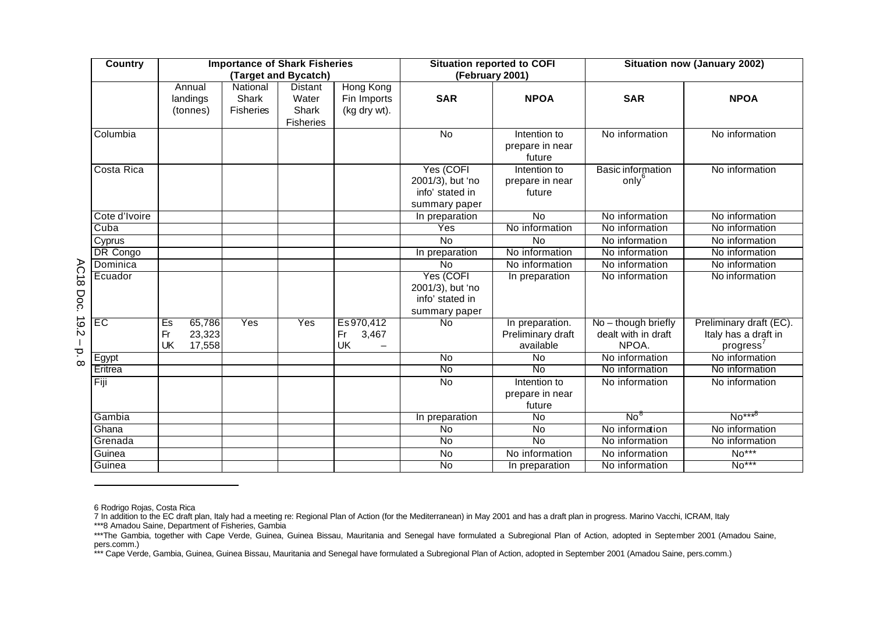| <b>Country</b> | <b>Importance of Shark Fisheries</b>         |                   |                         | <b>Situation reported to COFI</b>     |                                                                   | <b>Situation now (January 2002)</b>               |                                                     |                                                                          |
|----------------|----------------------------------------------|-------------------|-------------------------|---------------------------------------|-------------------------------------------------------------------|---------------------------------------------------|-----------------------------------------------------|--------------------------------------------------------------------------|
|                |                                              |                   | (Target and Bycatch)    |                                       | (February 2001)                                                   |                                                   |                                                     |                                                                          |
|                | Annual<br>landings                           | National<br>Shark | <b>Distant</b><br>Water | Hong Kong<br>Fin Imports              | <b>SAR</b>                                                        | <b>NPOA</b>                                       | <b>SAR</b>                                          | <b>NPOA</b>                                                              |
|                | (tonnes)                                     | <b>Fisheries</b>  | Shark                   | (kg dry wt).                          |                                                                   |                                                   |                                                     |                                                                          |
|                |                                              |                   | <b>Fisheries</b>        |                                       |                                                                   |                                                   |                                                     |                                                                          |
| Columbia       |                                              |                   |                         |                                       | No                                                                | Intention to<br>prepare in near<br>future         | No information                                      | No information                                                           |
| Costa Rica     |                                              |                   |                         |                                       | Yes (COFI<br>2001/3), but 'no<br>info' stated in<br>summary paper | Intention to<br>prepare in near<br>future         | Basic information<br>only <sup>6</sup>              | No information                                                           |
| Cote d'Ivoire  |                                              |                   |                         |                                       | In preparation                                                    | $\overline{N}$                                    | No information                                      | No information                                                           |
| Cuba           |                                              |                   |                         |                                       | $\overline{\text{Yes}}$                                           | No information                                    | No information                                      | No information                                                           |
| Cyprus         |                                              |                   |                         |                                       | <b>No</b>                                                         | <b>No</b>                                         | No information                                      | No information                                                           |
| DR Congo       |                                              |                   |                         |                                       | In preparation                                                    | No information                                    | No information                                      | No information                                                           |
| Dominica       |                                              |                   |                         |                                       | <b>No</b>                                                         | No information                                    | No information                                      | No information                                                           |
| Ecuador        |                                              |                   |                         |                                       | Yes (COFI<br>2001/3), but 'no<br>info' stated in                  | In preparation                                    | No information                                      | No information                                                           |
|                |                                              |                   |                         |                                       | summary paper                                                     |                                                   |                                                     |                                                                          |
| EC             | 65,786<br>Es<br>Fr<br>23,323<br>UK<br>17,558 | Yes               | Yes                     | Es970,412<br>3,467<br>Fr<br><b>UK</b> | $\overline{N}$                                                    | In preparation.<br>Preliminary draft<br>available | No - though briefly<br>dealt with in draft<br>NPOA. | Preliminary draft (EC).<br>Italy has a draft in<br>progress <sup>7</sup> |
| Egypt          |                                              |                   |                         |                                       | No                                                                | <b>No</b>                                         | No information                                      | No information                                                           |
| Eritrea        |                                              |                   |                         |                                       | No                                                                | <b>No</b>                                         | No information                                      | No information                                                           |
| Fiji           |                                              |                   |                         |                                       | $\overline{N}$                                                    | Intention to<br>prepare in near<br>future         | No information                                      | No information                                                           |
| Gambia         |                                              |                   |                         |                                       | In preparation                                                    | <b>No</b>                                         | $\overline{No}^8$                                   | No*** <sup>8</sup>                                                       |
| Ghana          |                                              |                   |                         |                                       | $\overline{N}$                                                    | No                                                | No information                                      | No information                                                           |
| Grenada        |                                              |                   |                         |                                       | <b>No</b>                                                         | <b>No</b>                                         | No information                                      | No information                                                           |
| Guinea         |                                              |                   |                         |                                       | No                                                                | No information                                    | No information                                      | No***                                                                    |
| Guinea         |                                              |                   |                         |                                       | <b>No</b>                                                         | In preparation                                    | No information                                      | No***                                                                    |

AC18 Doc. 5<br>১<br>১ – p. 8

l

6 Rodrigo Rojas, Costa Rica

7 In addition to the EC draft plan, Italy had a meeting re: Regional Plan of Action (for the Mediterranean) in May 2001 and has a draft plan in progress. Marino Vacchi, ICRAM, Italy

\*\*\*8 Amadou Saine, Department of Fisheries, Gambia

\*\*\* Cape Verde, Gambia, Guinea, Guinea Bissau, Mauritania and Senegal have formulated a Subregional Plan of Action, adopted in September 2001 (Amadou Saine, pers.comm.)

<sup>\*\*\*</sup>The Gambia, together with Cape Verde, Guinea, Guinea Bissau, Mauritania and Senegal have formulated a Subregional Plan of Action, adopted in September 2001 (Amadou Saine, pers.comm.)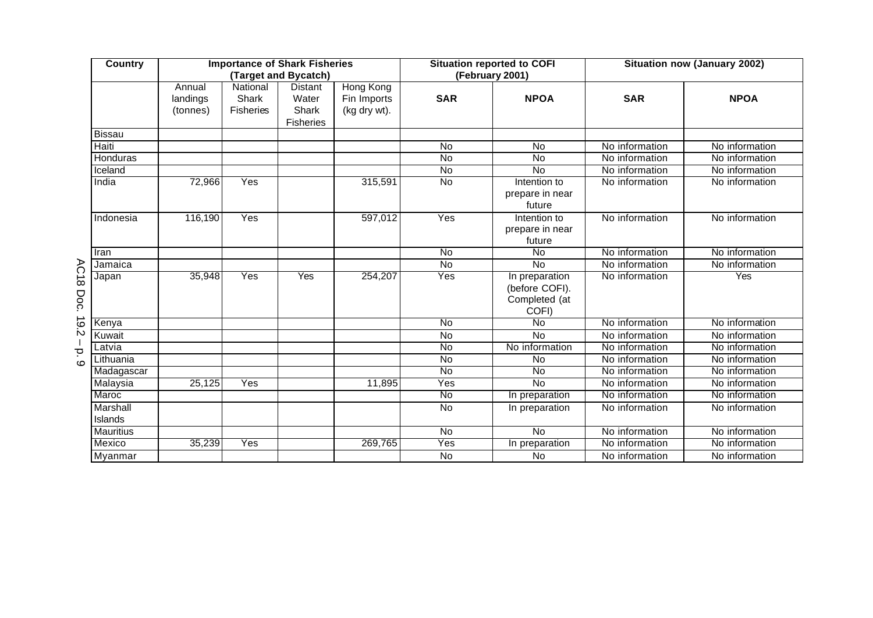| <b>Country</b>      |                                |                                       | <b>Importance of Shark Fisheries</b>                 |                                                 |                         | <b>Situation reported to COFI</b>                          | <b>Situation now (January 2002)</b> |                |  |
|---------------------|--------------------------------|---------------------------------------|------------------------------------------------------|-------------------------------------------------|-------------------------|------------------------------------------------------------|-------------------------------------|----------------|--|
|                     |                                |                                       | (Target and Bycatch)                                 |                                                 |                         | (February 2001)                                            |                                     |                |  |
|                     | Annual<br>landings<br>(tonnes) | National<br>Shark<br><b>Fisheries</b> | <b>Distant</b><br>Water<br>Shark<br><b>Fisheries</b> | <b>Hong Kong</b><br>Fin Imports<br>(kg dry wt). | <b>SAR</b>              | <b>NPOA</b>                                                | <b>SAR</b>                          | <b>NPOA</b>    |  |
| Bissau              |                                |                                       |                                                      |                                                 |                         |                                                            |                                     |                |  |
| Haiti               |                                |                                       |                                                      |                                                 | No                      | No                                                         | No information                      | No information |  |
| Honduras            |                                |                                       |                                                      |                                                 | $\overline{N}$          | $\overline{N}$                                             | No information                      | No information |  |
| Iceland             |                                |                                       |                                                      |                                                 | $\overline{N}$          | No                                                         | No information                      | No information |  |
| India               | 72,966                         | Yes                                   |                                                      | 315,591                                         | No                      | Intention to<br>prepare in near<br>future                  | No information                      | No information |  |
| Indonesia           | 116,190                        | Yes                                   |                                                      | 597,012                                         | Yes                     | Intention to<br>prepare in near<br>future                  | No information                      | No information |  |
| Iran                |                                |                                       |                                                      |                                                 | $\overline{N}$          | $\overline{N}$                                             | No information                      | No information |  |
| Jamaica             |                                |                                       |                                                      |                                                 | No                      | <b>No</b>                                                  | No information                      | No information |  |
| Japan               | 35,948                         | Yes                                   | Yes                                                  | 254,207                                         | Yes                     | In preparation<br>(before COFI).<br>Completed (at<br>COFI) | No information                      | Yes            |  |
| Kenya               |                                |                                       |                                                      |                                                 | <b>No</b>               | $\overline{N}$                                             | No information                      | No information |  |
| Kuwait              |                                |                                       |                                                      |                                                 | No                      | <b>No</b>                                                  | No information                      | No information |  |
| Latvia              |                                |                                       |                                                      |                                                 | $\overline{N}$          | No information                                             | No information                      | No information |  |
| Lithuania           |                                |                                       |                                                      |                                                 | No                      | <b>No</b>                                                  | No information                      | No information |  |
| Madagascar          |                                |                                       |                                                      |                                                 | No                      | $\overline{N}$                                             | No information                      | No information |  |
| Malaysia            | 25,125                         | Yes                                   |                                                      | 11,895                                          | Yes                     | No                                                         | No information                      | No information |  |
| Maroc               |                                |                                       |                                                      |                                                 | No                      | In preparation                                             | No information                      | No information |  |
| Marshall<br>Islands |                                |                                       |                                                      |                                                 | $\overline{N}$          | In preparation                                             | No information                      | No information |  |
| <b>Mauritius</b>    |                                |                                       |                                                      |                                                 | No                      | <b>No</b>                                                  | No information                      | No information |  |
| Mexico              | 35,239                         | Yes                                   |                                                      | 269,765                                         | $\overline{\text{Yes}}$ | In preparation                                             | No information                      | No information |  |
| Myanmar             |                                |                                       |                                                      |                                                 | No                      | No                                                         | No information                      | No information |  |

AC18 Doc. 5<br>১<br>১ – p. 9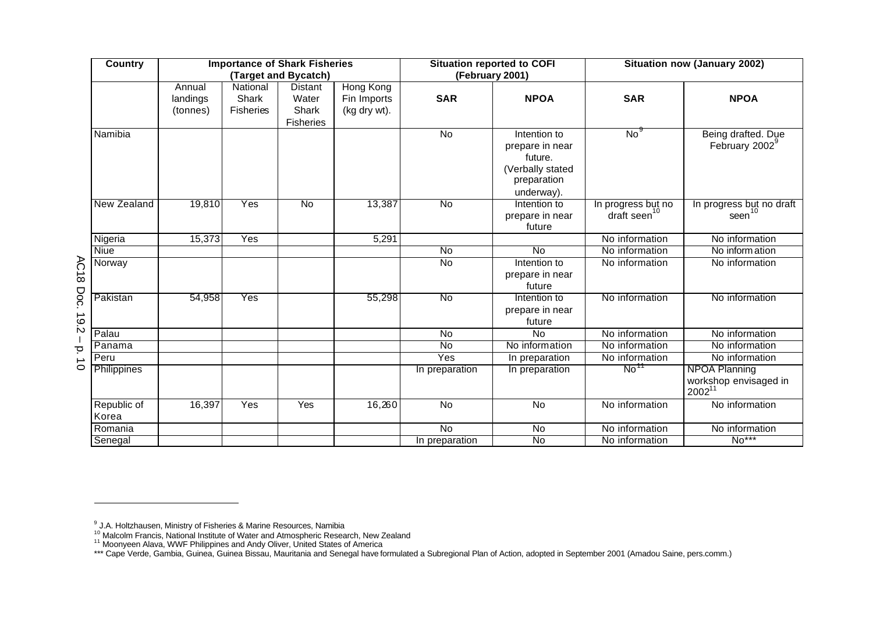|                | <b>Country</b> | <b>Importance of Shark Fisheries</b> |                  |                      |              |                | <b>Situation reported to COFI</b> | <b>Situation now (January 2002)</b> |                                      |  |
|----------------|----------------|--------------------------------------|------------------|----------------------|--------------|----------------|-----------------------------------|-------------------------------------|--------------------------------------|--|
|                |                |                                      |                  | (Target and Bycatch) |              |                | (February 2001)                   |                                     |                                      |  |
|                |                | Annual                               | <b>National</b>  | <b>Distant</b>       | Hong Kong    |                |                                   |                                     |                                      |  |
|                |                | landings                             | Shark            | Water                | Fin Imports  | <b>SAR</b>     | <b>NPOA</b>                       | <b>SAR</b>                          | <b>NPOA</b>                          |  |
|                |                | (tonnes)                             | <b>Fisheries</b> | Shark                | (kg dry wt). |                |                                   |                                     |                                      |  |
|                |                |                                      |                  | <b>Fisheries</b>     |              |                |                                   |                                     |                                      |  |
|                | Namibia        |                                      |                  |                      |              | $\overline{N}$ | Intention to                      | No <sub>s</sub>                     | Being drafted. Due                   |  |
|                |                |                                      |                  |                      |              |                | prepare in near                   |                                     | February 2002 <sup>9</sup>           |  |
|                |                |                                      |                  |                      |              |                | future.                           |                                     |                                      |  |
|                |                |                                      |                  |                      |              |                | (Verbally stated                  |                                     |                                      |  |
|                |                |                                      |                  |                      |              |                | preparation                       |                                     |                                      |  |
|                |                |                                      |                  |                      |              |                | underway).                        |                                     |                                      |  |
|                | New Zealand    | 19,810                               | Yes              | No                   | 13,387       | <b>No</b>      | Intention to                      | In progress but no                  | In progress but no draft             |  |
|                |                |                                      |                  |                      |              |                | prepare in near                   | $d$ raft seen <sup>10</sup>         | seen $10$                            |  |
|                |                |                                      |                  |                      |              |                | future                            |                                     |                                      |  |
|                | Nigeria        | 15,373                               | Yes              |                      | 5,291        |                |                                   | No information                      | No information                       |  |
|                | Niue           |                                      |                  |                      |              | <b>No</b>      | $\overline{N}$                    | No information                      | No inform ation                      |  |
| AC18           | Norway         |                                      |                  |                      |              | No             | Intention to                      | No information                      | No information                       |  |
|                |                |                                      |                  |                      |              |                | prepare in near                   |                                     |                                      |  |
|                |                |                                      |                  |                      |              |                | future                            |                                     |                                      |  |
| Doc.           | Pakistan       | 54,958                               | Yes              |                      | 55,298       | <b>No</b>      | Intention to                      | No information                      | No information                       |  |
|                |                |                                      |                  |                      |              |                | prepare in near                   |                                     |                                      |  |
| $\overline{5}$ |                |                                      |                  |                      |              |                | future                            |                                     |                                      |  |
|                | Palau          |                                      |                  |                      |              | No             | <b>No</b>                         | No information                      | No information                       |  |
| ರ              | Panama         |                                      |                  |                      |              | <b>No</b>      | No information                    | No information                      | No information                       |  |
| $\vec{0}$      | Peru           |                                      |                  |                      |              | Yes            | In preparation                    | No information                      | No information                       |  |
|                | Philippines    |                                      |                  |                      |              | In preparation | In preparation                    | $\overline{N}$ <sup>11</sup>        | <b>NPOA Planning</b>                 |  |
|                |                |                                      |                  |                      |              |                |                                   |                                     | workshop envisaged in<br>$2002^{11}$ |  |
|                | Republic of    | 16,397                               | Yes              | Yes                  | 16,260       | <b>No</b>      | $\overline{N}$                    | No information                      | No information                       |  |
|                | Korea          |                                      |                  |                      |              |                |                                   |                                     |                                      |  |
|                | Romania        |                                      |                  |                      |              | <b>No</b>      | No                                | No information                      | No information                       |  |
|                | Senegal        |                                      |                  |                      |              | In preparation | No                                | No information                      | No***                                |  |

<sup>&</sup>lt;sup>9</sup> J.A. Holtzhausen, Ministry of Fisheries & Marine Resources, Namibia

 $10^{10}$  Malcolm Francis, National Institute of Water and Atmospheric Research, New Zealand

<sup>&</sup>lt;sup>11</sup> Moonyeen Alava, WWF Philippines and Andy Oliver, United States of America

<sup>\*\*\*</sup> Cape Verde, Gambia, Guinea, Guinea Bissau, Mauritania and Senegal have formulated a Subregional Plan of Action, adopted in September 2001 (Amadou Saine, pers.comm.)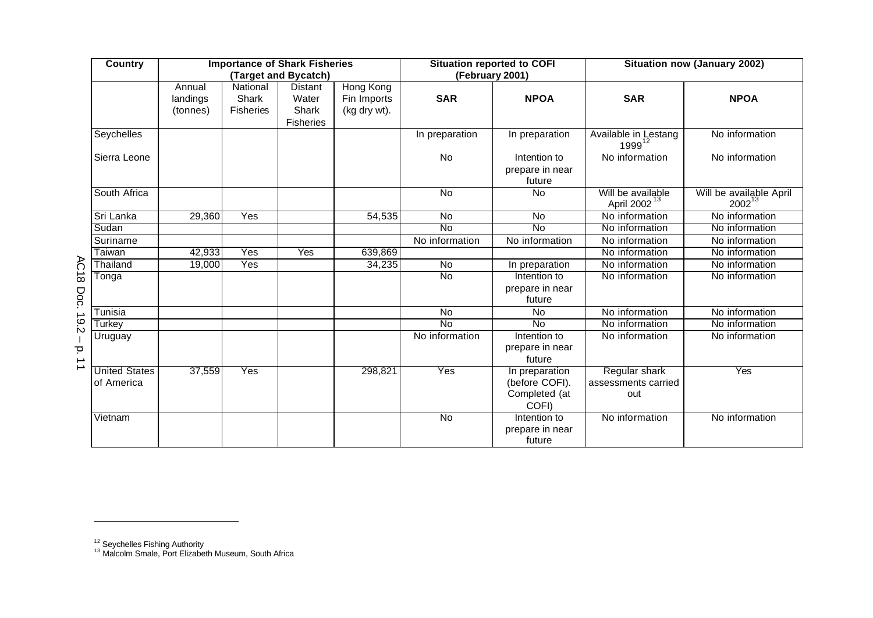| <b>Country</b>       | <b>Importance of Shark Fisheries</b> |                  |                      | <b>Situation reported to COFI</b> | <b>Situation now (January 2002)</b> |                                 |                                               |                                        |
|----------------------|--------------------------------------|------------------|----------------------|-----------------------------------|-------------------------------------|---------------------------------|-----------------------------------------------|----------------------------------------|
|                      |                                      |                  | (Target and Bycatch) |                                   |                                     | (February 2001)                 |                                               |                                        |
|                      | Annual                               | National         | <b>Distant</b>       | Hong Kong                         |                                     |                                 |                                               |                                        |
|                      | landings                             | <b>Shark</b>     | Water                | Fin Imports                       | <b>SAR</b>                          | <b>NPOA</b>                     | <b>SAR</b>                                    | <b>NPOA</b>                            |
|                      | (tonnes)                             | <b>Fisheries</b> | <b>Shark</b>         | (kg dry wt).                      |                                     |                                 |                                               |                                        |
|                      |                                      |                  | <b>Fisheries</b>     |                                   |                                     |                                 |                                               |                                        |
| <b>Seychelles</b>    |                                      |                  |                      |                                   | In preparation                      | In preparation                  | Available in Lestang<br>1999 <sup>12</sup>    | No information                         |
| Sierra Leone         |                                      |                  |                      |                                   | <b>No</b>                           | Intention to                    | No information                                | No information                         |
|                      |                                      |                  |                      |                                   |                                     | prepare in near<br>future       |                                               |                                        |
| South Africa         |                                      |                  |                      |                                   | <b>No</b>                           | $\overline{N}$                  | Will be available<br>April 2002 <sup>13</sup> | Will be available April<br>$2002^{13}$ |
| Sri Lanka            | 29,360                               | Yes              |                      | 54,535                            | No                                  | <b>No</b>                       | No information                                | No information                         |
| Sudan                |                                      |                  |                      |                                   | $\overline{N}$                      | <b>No</b>                       | No information                                | No information                         |
| Suriname             |                                      |                  |                      |                                   | No information                      | No information                  | No information                                | No information                         |
| Taiwan               | 42,933                               | Yes              | Yes                  | 639,869                           |                                     |                                 | No information                                | No information                         |
| Thailand             | 19,000                               | Yes              |                      | 34,235                            | $\overline{N}$                      | In preparation                  | No information                                | No information                         |
| Tonga                |                                      |                  |                      |                                   | $\overline{N}$                      | Intention to                    | No information                                | No information                         |
|                      |                                      |                  |                      |                                   |                                     | prepare in near                 |                                               |                                        |
|                      |                                      |                  |                      |                                   |                                     | future                          |                                               |                                        |
| Tunisia              |                                      |                  |                      |                                   | $\overline{N}$                      | <b>No</b>                       | No information                                | No information                         |
| Turkey               |                                      |                  |                      |                                   | $\overline{N}$                      | $\overline{N}$                  | No information                                | No information                         |
| Uruguay              |                                      |                  |                      |                                   | No information                      | Intention to<br>prepare in near | No information                                | No information                         |
|                      |                                      |                  |                      |                                   |                                     | future                          |                                               |                                        |
| <b>United States</b> | 37,559                               | Yes              |                      | 298,821                           | Yes                                 | In preparation                  | <b>Regular shark</b>                          | Yes                                    |
| of America           |                                      |                  |                      |                                   |                                     | (before COFI).                  | assessments carried                           |                                        |
|                      |                                      |                  |                      |                                   |                                     | Completed (at                   | out                                           |                                        |
|                      |                                      |                  |                      |                                   |                                     | COFI)                           |                                               |                                        |
| Vietnam              |                                      |                  |                      |                                   | <b>No</b>                           | Intention to                    | No information                                | No information                         |
|                      |                                      |                  |                      |                                   |                                     | prepare in near                 |                                               |                                        |
|                      |                                      |                  |                      |                                   |                                     | future                          |                                               |                                        |

l

<sup>12</sup> Seychelles Fishing Authority

<sup>13</sup> Malcolm Smale, Port Elizabeth Museum, South Africa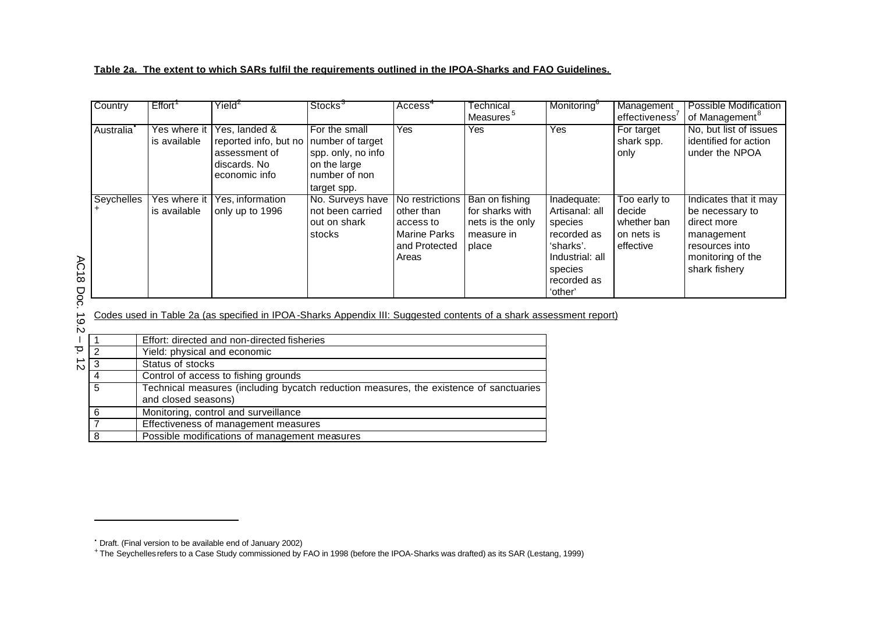|  |  | Table 2a. The extent to which SARs fulfil the requirements outlined in the IPOA-Sharks and FAO Guidelines. |  |  |
|--|--|------------------------------------------------------------------------------------------------------------|--|--|
|  |  |                                                                                                            |  |  |

| Country                | <b>Effort</b>                | Yield <sup>2</sup>                                                                       | Stocks <sup>3</sup>                                                                                     | Access <sup>4</sup>                                                                         | Technical<br>Measures <sup>5</sup>                                           | Monitoring <sup>o</sup>                                                                                                      | Management<br>effectiveness'                                     | <b>Possible Modification</b><br>of Management <sup>8</sup>                                                                    |
|------------------------|------------------------------|------------------------------------------------------------------------------------------|---------------------------------------------------------------------------------------------------------|---------------------------------------------------------------------------------------------|------------------------------------------------------------------------------|------------------------------------------------------------------------------------------------------------------------------|------------------------------------------------------------------|-------------------------------------------------------------------------------------------------------------------------------|
| Australia <sup>®</sup> | res where it<br>is available | Yes, landed &<br>reported info, but no<br>assessment of<br>discards, No<br>economic info | For the small<br>number of target<br>spp. only, no info<br>on the large<br>number of non<br>target spp. | Yes                                                                                         | Yes                                                                          | Yes                                                                                                                          | For target<br>shark spp.<br>only                                 | No, but list of issues<br>identified for action<br>under the NPOA                                                             |
| Seychelles             | Yes where it<br>is available | Yes, information<br>only up to 1996                                                      | No. Surveys have<br>not been carried<br>out on shark<br>stocks                                          | No restrictions<br>other than<br>access to<br><b>Marine Parks</b><br>and Protected<br>Areas | Ban on fishing<br>for sharks with<br>nets is the only<br>measure in<br>place | Inadequate:<br>Artisanal: all<br>species<br>recorded as<br>'sharks'.<br>Industrial: all<br>species<br>recorded as<br>'other' | Too early to<br>decide<br>whether ban<br>on nets is<br>effective | Indicates that it may<br>be necessary to<br>direct more<br>management<br>resources into<br>monitoring of the<br>shark fishery |

Doc. 5<br>১<br>১ – p. 12

l

AC18

|   | Effort: directed and non-directed fisheries                                                                   |
|---|---------------------------------------------------------------------------------------------------------------|
|   | Yield: physical and economic                                                                                  |
| 3 | Status of stocks                                                                                              |
|   | Control of access to fishing grounds                                                                          |
| 5 | Technical measures (including bycatch reduction measures, the existence of sanctuaries<br>and closed seasons) |
|   | Monitoring, control and surveillance                                                                          |
|   | Effectiveness of management measures                                                                          |
| я | Possible modifications of management measures                                                                 |

<sup>•</sup> Draft. (Final version to be available end of January 2002) + The Seychelles refers to a Case Study commissioned by FAO in 1998 (before the IPOA-Sharks was drafted) as its SAR (Lestang, 1999)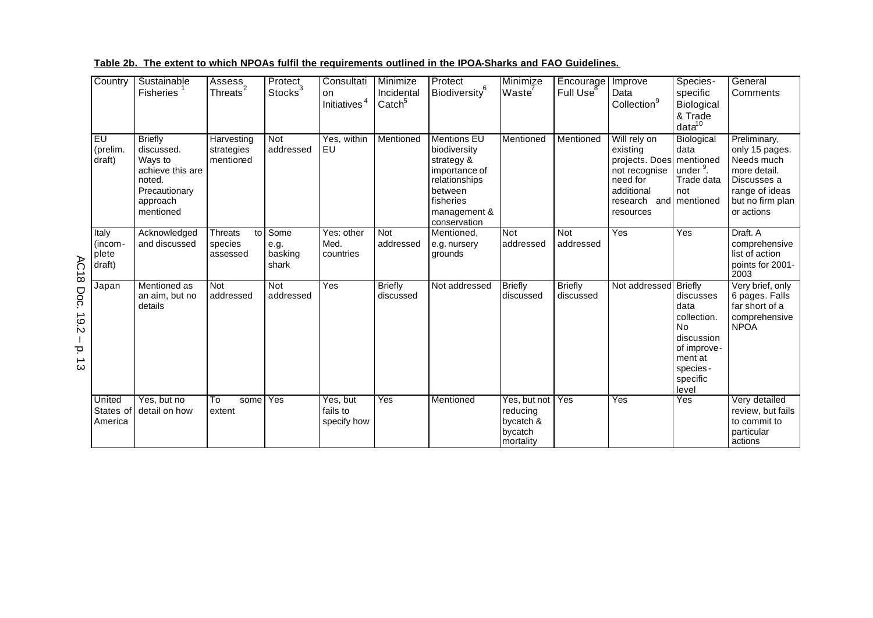| Country                             | Sustainable<br>Fisheries <sup>1</sup>                                                                           | <b>Assess</b><br>Threats <sup>2</sup>       | Protect<br>Stocks <sup>3</sup>   | Consultati<br>on<br>Initiatives <sup>4</sup> | Minimize<br>Incidental<br>Catch <sup>5</sup> | Protect<br>Biodiversity <sup>6</sup>                                                                                                       | Minimize<br>Waste <sup>'</sup>                                | Encourage<br>Full Use <sup>8</sup> | Improve<br>Data<br>Collection <sup>9</sup>                                                                                   | Species-<br>specific<br>Biological<br>& Trade<br>data <sup>10</sup>                                                                       | General<br>Comments                                                                                                             |
|-------------------------------------|-----------------------------------------------------------------------------------------------------------------|---------------------------------------------|----------------------------------|----------------------------------------------|----------------------------------------------|--------------------------------------------------------------------------------------------------------------------------------------------|---------------------------------------------------------------|------------------------------------|------------------------------------------------------------------------------------------------------------------------------|-------------------------------------------------------------------------------------------------------------------------------------------|---------------------------------------------------------------------------------------------------------------------------------|
| EU<br>(prelim.<br>draft)            | <b>Briefly</b><br>discussed.<br>Ways to<br>achieve this are<br>noted.<br>Precautionary<br>approach<br>mentioned | Harvesting<br>strategies<br>mentioned       | Not<br>addressed                 | Yes, within<br>EU                            | Mentioned                                    | <b>Mentions EU</b><br>biodiversity<br>strategy &<br>importance of<br>relationships<br>between<br>fisheries<br>management &<br>conservation | Mentioned                                                     | Mentioned                          | Will rely on<br>existing<br>projects. Does<br>not recognise<br>need for<br>additional<br>research and mentioned<br>resources | Biological<br>data<br>mentioned<br>under <sup>9</sup> .<br>Trade data<br>not                                                              | Preliminary,<br>only 15 pages.<br>Needs much<br>more detail.<br>Discusses a<br>range of ideas<br>but no firm plan<br>or actions |
| Italy<br>(incom-<br>plete<br>draft) | Acknowledged<br>and discussed                                                                                   | <b>Threats</b><br>to<br>species<br>assessed | Some<br>e.g.<br>basking<br>shark | Yes: other<br>Med.<br>countries              | <b>Not</b><br>addressed                      | Mentioned,<br>e.g. nursery<br>grounds                                                                                                      | Not<br>addressed                                              | <b>Not</b><br>addressed            | Yes                                                                                                                          | Yes                                                                                                                                       | Draft. A<br>comprehensive<br>list of action<br>points for 2001-<br>2003                                                         |
| Japan                               | Mentioned as<br>an aim, but no<br>details                                                                       | <b>Not</b><br>addressed                     | Not<br>addressed                 | Yes                                          | <b>Briefly</b><br>discussed                  | Not addressed                                                                                                                              | <b>Briefly</b><br>discussed                                   | <b>Briefly</b><br>discussed        | Not addressed                                                                                                                | <b>Briefly</b><br>discusses<br>data<br>collection.<br><b>No</b><br>discussion<br>of improve-<br>ment at<br>species -<br>specific<br>level | Very brief, only<br>6 pages. Falls<br>far short of a<br>comprehensive<br><b>NPOA</b>                                            |
| United<br>States of<br>America      | Yes, but no<br>detail on how                                                                                    | To<br>some<br>extent                        | Yes                              | Yes, but<br>fails to<br>specify how          | Yes                                          | Mentioned                                                                                                                                  | Yes, but not<br>reducing<br>bycatch &<br>bycatch<br>mortality | Yes                                | Yes                                                                                                                          | Yes                                                                                                                                       | Very detailed<br>review, but fails<br>to commit to<br>particular<br>actions                                                     |

**Table 2b. The extent to which NPOAs fulfil the requirements outlined in the IPOA-Sharks and FAO Guidelines.**

AC18 Doc. 5<br>১<br>১ – p. 13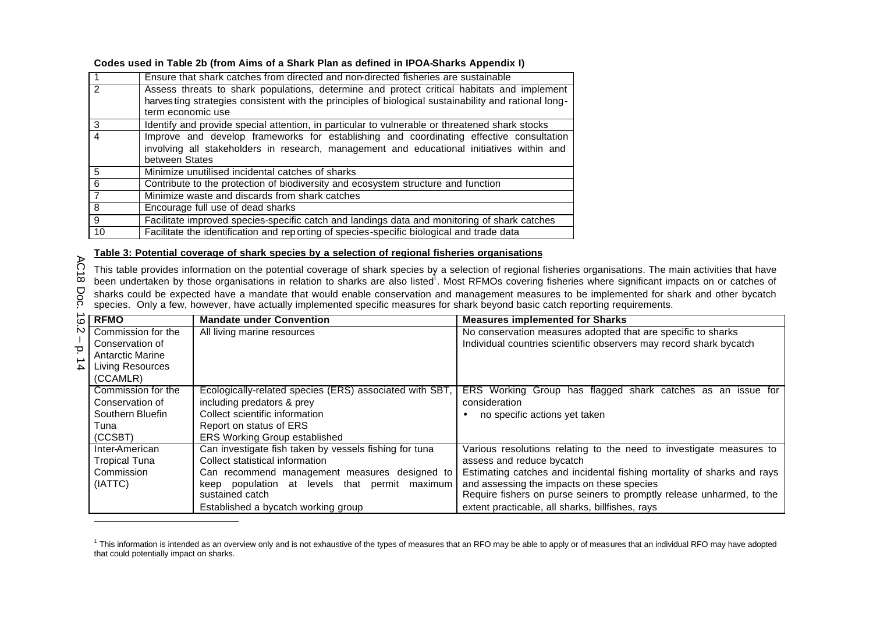**Codes used in Table 2b (from Aims of a Shark Plan as defined in IPOA-Sharks Appendix I)**

|               | Ensure that shark catches from directed and non-directed fisheries are sustainable                    |
|---------------|-------------------------------------------------------------------------------------------------------|
| $\mathcal{P}$ | Assess threats to shark populations, determine and protect critical habitats and implement            |
|               | harves ting strategies consistent with the principles of biological sustainability and rational long- |
|               | term economic use                                                                                     |
| 3             | Identify and provide special attention, in particular to vulnerable or threatened shark stocks        |
| 4             | Improve and develop frameworks for establishing and coordinating effective consultation               |
|               | involving all stakeholders in research, management and educational initiatives within and             |
|               | between States                                                                                        |
| 5             | Minimize unutilised incidental catches of sharks                                                      |
| 6             | Contribute to the protection of biodiversity and ecosystem structure and function                     |
| 7             | Minimize waste and discards from shark catches                                                        |
| 8             | Encourage full use of dead sharks                                                                     |
| 9             | Facilitate improved species-specific catch and landings data and monitoring of shark catches          |
| 10            | Facilitate the identification and reporting of species-specific biological and trade data             |

## **Table 3: Potential coverage of shark species by a selection of regional fisheries organisations**

l

AC18 Doc. This table provides information on the potential coverage of shark species by a selection of regional fisheries organisations. The main activities that have been undertaken by those organisations in relation to sharks are also listed<sup>1</sup>. Most RFMOs covering fisheries where significant impacts on or catches of sharks could be expected have a mandate that would enable conservation and management measures to be implemented for shark and other bycatch species. Only a few, however, have actually implemented specific measures for shark beyond basic catch reporting requirements.

| ढ।                 | <b>RFMO</b>                           | <b>Mandate under Convention</b>                         | <b>Measures implemented for Sharks</b>                                                                                             |
|--------------------|---------------------------------------|---------------------------------------------------------|------------------------------------------------------------------------------------------------------------------------------------|
| N                  | Commission for the<br>Conservation of | All living marine resources                             | No conservation measures adopted that are specific to sharks<br>Individual countries scientific observers may record shark bycatch |
| p<br>$\frac{4}{4}$ | <b>Antarctic Marine</b>               |                                                         |                                                                                                                                    |
|                    | Living Resources                      |                                                         |                                                                                                                                    |
|                    | (CCAMLR)                              |                                                         |                                                                                                                                    |
|                    | Commission for the                    | Ecologically-related species (ERS) associated with SBT, | ERS Working Group has flagged shark catches as an issue for                                                                        |
|                    | Conservation of                       | including predators & prey                              | consideration                                                                                                                      |
|                    | Southern Bluefin                      | Collect scientific information                          | no specific actions yet taken                                                                                                      |
|                    | Tuna                                  | Report on status of ERS                                 |                                                                                                                                    |
|                    | (CCSBT)                               | <b>ERS Working Group established</b>                    |                                                                                                                                    |
|                    | Inter-American                        | Can investigate fish taken by vessels fishing for tuna  | Various resolutions relating to the need to investigate measures to                                                                |
|                    | <b>Tropical Tuna</b>                  | Collect statistical information                         | assess and reduce bycatch                                                                                                          |
|                    | Commission                            | Can recommend management measures designed to           | Estimating catches and incidental fishing mortality of sharks and rays                                                             |
|                    | (IATTC)                               | keep population at levels that permit maximum           | and assessing the impacts on these species                                                                                         |
|                    |                                       | sustained catch                                         | Require fishers on purse seiners to promptly release unharmed, to the                                                              |
|                    |                                       | Established a bycatch working group                     | extent practicable, all sharks, billfishes, rays                                                                                   |

<sup>&</sup>lt;sup>1</sup> This information is intended as an overview only and is not exhaustive of the types of measures that an RFO may be able to apply or of measures that an individual RFO may have adopted that could potentially impact on sharks.